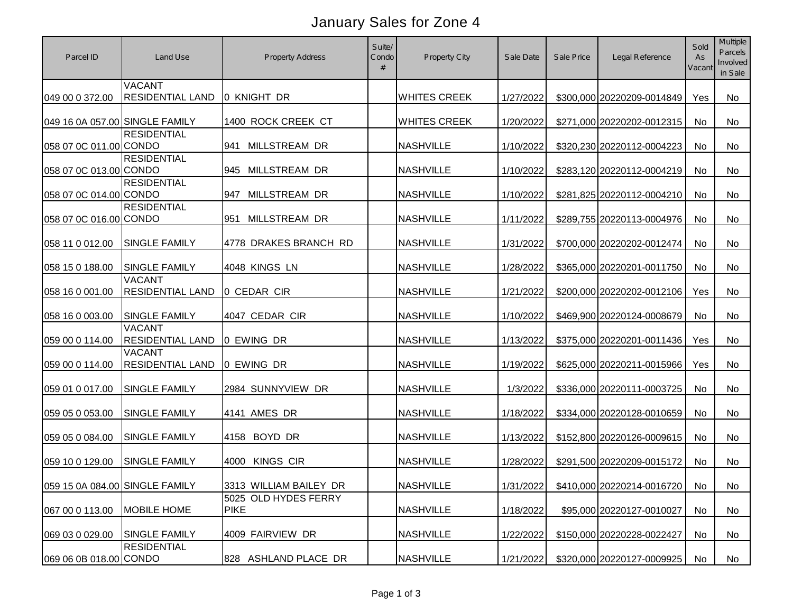## January Sales for Zone 4

| Parcel ID                      | Land Use                                   | <b>Property Address</b>                        | Suite/<br>Condo | Property City       | Sale Date | Sale Price | Legal Reference               | Sold<br>As<br>Vacant | Multiple<br>Parcels<br>Involved<br>in Sale |
|--------------------------------|--------------------------------------------|------------------------------------------------|-----------------|---------------------|-----------|------------|-------------------------------|----------------------|--------------------------------------------|
| 049 00 0 372.00                | <b>VACANT</b><br><b>RESIDENTIAL LAND</b>   | 0 KNIGHT DR                                    |                 | <b>WHITES CREEK</b> | 1/27/2022 |            | \$300,000 20220209-0014849    | Yes                  | No                                         |
| 049 16 0A 057.00 SINGLE FAMILY |                                            | 1400 ROCK CREEK CT                             |                 | <b>WHITES CREEK</b> | 1/20/2022 |            | \$271,000 20220202-0012315    | No                   | No                                         |
| 058 07 0C 011.00 CONDO         | <b>RESIDENTIAL</b>                         | <b>MILLSTREAM DR</b><br>941                    |                 | <b>NASHVILLE</b>    | 1/10/2022 |            | \$320,230 20220112-0004223    | <b>No</b>            | No                                         |
| 058 07 0C 013.00 CONDO         | <b>RESIDENTIAL</b><br><b>RESIDENTIAL</b>   | 945 MILLSTREAM DR                              |                 | <b>NASHVILLE</b>    | 1/10/2022 |            | \$283,120 20220112-0004219    | No                   | No                                         |
| 058 07 0C 014.00 CONDO         | <b>RESIDENTIAL</b>                         | <b>MILLSTREAM DR</b><br>947                    |                 | <b>NASHVILLE</b>    | 1/10/2022 |            | \$281,825 20220112-0004210    | <b>No</b>            | No                                         |
| 058 07 0C 016.00 CONDO         |                                            | MILLSTREAM DR<br>951                           |                 | <b>NASHVILLE</b>    | 1/11/2022 |            | \$289,755 20220113-0004976    | <b>No</b>            | No                                         |
| 058 11 0 012.00                | <b>SINGLE FAMILY</b>                       | 4778 DRAKES BRANCH RD                          |                 | <b>NASHVILLE</b>    | 1/31/2022 |            | \$700,000 20220202-0012474    | <b>No</b>            | No                                         |
| 058 15 0 188.00                | <b>SINGLE FAMILY</b><br><b>VACANT</b>      | 4048 KINGS LN                                  |                 | <b>NASHVILLE</b>    | 1/28/2022 |            | \$365,000 20220201-0011750    | <b>No</b>            | No                                         |
| 058 16 0 001.00                | <b>RESIDENTIAL LAND</b>                    | 0 CEDAR CIR                                    |                 | <b>NASHVILLE</b>    | 1/21/2022 |            | \$200,000 20220202-0012106    | Yes                  | No                                         |
| 058 16 0 003.00                | <b>SINGLE FAMILY</b><br><b>VACANT</b>      | 4047 CEDAR CIR                                 |                 | <b>NASHVILLE</b>    | 1/10/2022 |            | \$469,900 20220124-0008679    | <b>No</b>            | No                                         |
| 059 00 0 114.00                | <b>RESIDENTIAL LAND</b><br><b>VACANT</b>   | 0 EWING DR                                     |                 | <b>NASHVILLE</b>    | 1/13/2022 |            | \$375,000 20220201-0011436    | Yes                  | No                                         |
| 059 00 0 114.00                | <b>RESIDENTIAL LAND</b>                    | 0 EWING DR                                     |                 | <b>NASHVILLE</b>    | 1/19/2022 |            | \$625,000 20220211-0015966    | Yes                  | No                                         |
| 059 01 0 017.00                | <b>SINGLE FAMILY</b>                       | 2984 SUNNYVIEW DR                              |                 | <b>NASHVILLE</b>    | 1/3/2022  |            | \$336,000 20220111-0003725    | <b>No</b>            | No.                                        |
| 059 05 0 053.00                | <b>SINGLE FAMILY</b>                       | 4141 AMES DR                                   |                 | <b>NASHVILLE</b>    | 1/18/2022 |            | \$334,000 20220128-0010659    | <b>No</b>            | <b>No</b>                                  |
| 059 05 0 084.00                | <b>SINGLE FAMILY</b>                       | 4158 BOYD DR                                   |                 | <b>NASHVILLE</b>    | 1/13/2022 |            | \$152,800 20220126-0009615    | <b>No</b>            | No                                         |
| 059 10 0 129.00                | <b>SINGLE FAMILY</b>                       | 4000 KINGS CIR                                 |                 | <b>NASHVILLE</b>    | 1/28/2022 |            | \$291,500 20220209-0015172    | <b>No</b>            | No                                         |
| 059 15 0A 084.00 SINGLE FAMILY |                                            | 3313 WILLIAM BAILEY DR<br>5025 OLD HYDES FERRY |                 | <b>NASHVILLE</b>    | 1/31/2022 |            | \$410,000 20220214-0016720 No |                      | No                                         |
| 067 00 0 113.00                | <b>MOBILE HOME</b>                         | <b>PIKE</b>                                    |                 | <b>NASHVILLE</b>    | 1/18/2022 |            | \$95,000 20220127-0010027     | No                   | No                                         |
| 069 03 0 029.00                | <b>SINGLE FAMILY</b><br><b>RESIDENTIAL</b> | 4009 FAIRVIEW DR                               |                 | <b>NASHVILLE</b>    | 1/22/2022 |            | \$150,000 20220228-0022427    | No                   | No                                         |
| 069 06 0B 018.00 CONDO         |                                            | 828 ASHLAND PLACE DR                           |                 | <b>NASHVILLE</b>    | 1/21/2022 |            | \$320,000 20220127-0009925    | No                   | No                                         |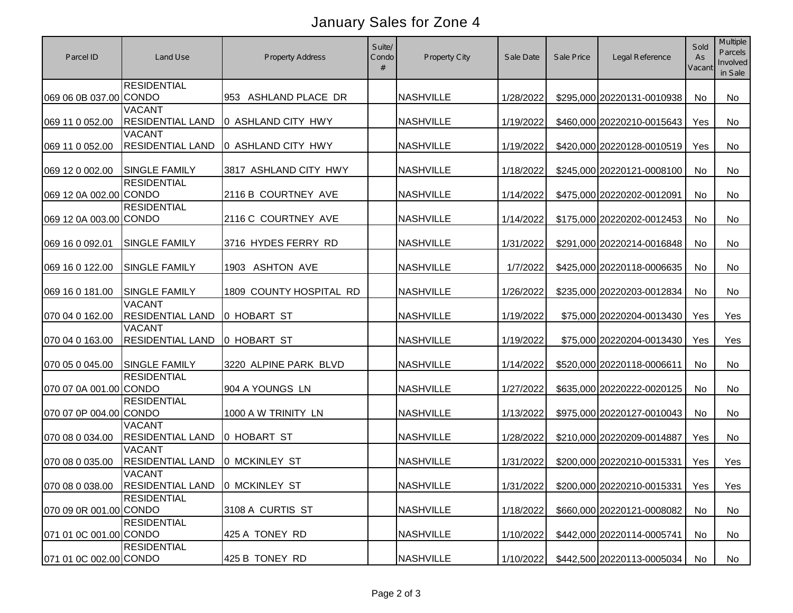## January Sales for Zone 4

| Parcel ID              | Land Use                                                        | <b>Property Address</b> | Suite/<br>Condo | <b>Property City</b> | Sale Date | Sale Price | Legal Reference                      | Sold<br>As<br>Vacant | <b>Multiple</b><br><b>Parcels</b><br>Involved<br>in Sale |
|------------------------|-----------------------------------------------------------------|-------------------------|-----------------|----------------------|-----------|------------|--------------------------------------|----------------------|----------------------------------------------------------|
| 069 06 0B 037.00 CONDO | <b>RESIDENTIAL</b>                                              | 953 ASHLAND PLACE DR    |                 | <b>NASHVILLE</b>     | 1/28/2022 |            | \$295,000 20220131-0010938           | <b>No</b>            | <b>No</b>                                                |
| 069 11 0 052.00        | <b>VACANT</b><br><b>RESIDENTIAL LAND</b>                        | 0 ASHLAND CITY HWY      |                 | <b>NASHVILLE</b>     | 1/19/2022 |            | \$460,000 20220210-0015643           | Yes                  | No                                                       |
| 069 11 0 052.00        | <b>VACANT</b><br><b>RESIDENTIAL LAND</b>                        | 0 ASHLAND CITY HWY      |                 | <b>NASHVILLE</b>     | 1/19/2022 |            | \$420,000 20220128-0010519           | Yes                  | <b>No</b>                                                |
| 069 12 0 002.00        | <b>SINGLE FAMILY</b>                                            | 3817 ASHLAND CITY HWY   |                 | <b>NASHVILLE</b>     | 1/18/2022 |            | \$245,000 20220121-0008100           | <b>No</b>            | No                                                       |
| 069 12 0A 002.00 CONDO | <b>RESIDENTIAL</b>                                              | 2116 B COURTNEY AVE     |                 | <b>NASHVILLE</b>     | 1/14/2022 |            | \$475,000 20220202-0012091           | <b>No</b>            | No                                                       |
| 069 12 0A 003.00 CONDO | <b>RESIDENTIAL</b>                                              | 2116 C COURTNEY AVE     |                 | <b>NASHVILLE</b>     | 1/14/2022 |            | \$175,000 20220202-0012453           | <b>No</b>            | No                                                       |
| 069 16 0 092.01        | <b>SINGLE FAMILY</b>                                            | 3716 HYDES FERRY RD     |                 | <b>NASHVILLE</b>     | 1/31/2022 |            | \$291,000 20220214-0016848           | No                   | No                                                       |
| 069 16 0 122.00        | <b>SINGLE FAMILY</b>                                            | 1903 ASHTON AVE         |                 | <b>NASHVILLE</b>     | 1/7/2022  |            | \$425,000 20220118-0006635           | No                   | No                                                       |
| 069 16 0 181.00        | <b>SINGLE FAMILY</b>                                            | 1809 COUNTY HOSPITAL RD |                 | <b>NASHVILLE</b>     | 1/26/2022 |            | \$235,000 20220203-0012834           | No                   | <b>No</b>                                                |
| 070 04 0 162.00        | <b>VACANT</b><br><b>RESIDENTIAL LAND</b>                        | 0 HOBART ST             |                 | <b>NASHVILLE</b>     | 1/19/2022 |            | \$75,000 20220204-0013430            | Yes                  | Yes                                                      |
| 070 04 0 163.00        | <b>VACANT</b><br><b>RESIDENTIAL LAND</b>                        | 0 HOBART ST             |                 | <b>NASHVILLE</b>     | 1/19/2022 |            | \$75,000 20220204-0013430            | Yes                  | Yes                                                      |
| 070 05 0 045.00        | <b>SINGLE FAMILY</b>                                            | 3220 ALPINE PARK BLVD   |                 | <b>NASHVILLE</b>     | 1/14/2022 |            | \$520,000 20220118-0006611           | <b>No</b>            | <b>No</b>                                                |
| 070 07 0A 001.00 CONDO | <b>RESIDENTIAL</b>                                              | 904 A YOUNGS LN         |                 | <b>NASHVILLE</b>     | 1/27/2022 |            | \$635,000 20220222-0020125           | <b>No</b>            | <b>No</b>                                                |
| 070 07 0P 004.00 CONDO | <b>RESIDENTIAL</b>                                              | 1000 A W TRINITY LN     |                 | <b>NASHVILLE</b>     | 1/13/2022 |            | \$975,000 20220127-0010043           | <b>No</b>            | No                                                       |
| 070 08 0 034.00        | <b>VACANT</b><br><b>RESIDENTIAL LAND</b>                        | 0 HOBART ST             |                 | <b>NASHVILLE</b>     | 1/28/2022 |            | \$210,000 20220209-0014887           | Yes                  | <b>No</b>                                                |
| 070 08 0 035.00        | <b>VACANT</b><br><b>RESIDENTIAL LAND</b>                        | <b>0 MCKINLEY ST</b>    |                 | <b>NASHVILLE</b>     | 1/31/2022 |            | \$200,000 20220210-0015331           | Yes                  | Yes                                                      |
|                        | <b>VACANT</b><br>070 08 0 038.00 RESIDENTIAL LAND 0 MCKINLEY ST |                         |                 | <b>NASHVILLE</b>     |           |            | 1/31/2022 \$200,000 20220210-0015331 | Yes                  | Yes                                                      |
| 070 09 0R 001.00 CONDO | <b>RESIDENTIAL</b>                                              | 3108 A CURTIS ST        |                 | <b>NASHVILLE</b>     | 1/18/2022 |            | \$660,000 20220121-0008082           | No                   | No                                                       |
| 071 01 0C 001.00 CONDO | <b>RESIDENTIAL</b>                                              | 425 A TONEY RD          |                 | <b>NASHVILLE</b>     | 1/10/2022 |            | \$442,000 20220114-0005741           | No                   | No                                                       |
| 071 01 0C 002.00 CONDO | <b>RESIDENTIAL</b>                                              | 425 B TONEY RD          |                 | <b>NASHVILLE</b>     | 1/10/2022 |            | \$442,500 20220113-0005034           | No                   | No                                                       |